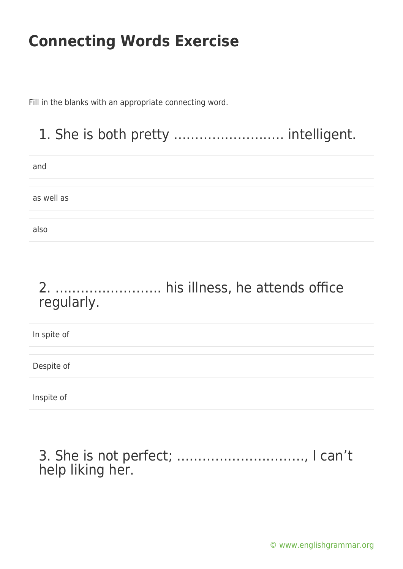Fill in the blanks with an appropriate connecting word.

### 1. She is both pretty …………………….. intelligent.

| and        |  |
|------------|--|
|            |  |
| as well as |  |
|            |  |
| also       |  |

### 2. ……………………. his illness, he attends office regularly.

In spite of Despite of Inspite of

3. She is not perfect; …………………………, I can't help liking her.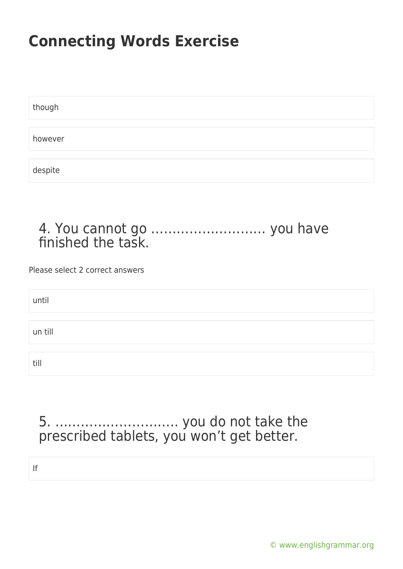| though  |  |  |  |
|---------|--|--|--|
|         |  |  |  |
| however |  |  |  |
|         |  |  |  |
| despite |  |  |  |

#### 4. You cannot go ……………………… you have finished the task.

Please select 2 correct answers

| until   |  |  |
|---------|--|--|
|         |  |  |
| un till |  |  |
|         |  |  |
| till    |  |  |

### 5. ……………………….. you do not take the prescribed tablets, you won't get better.

If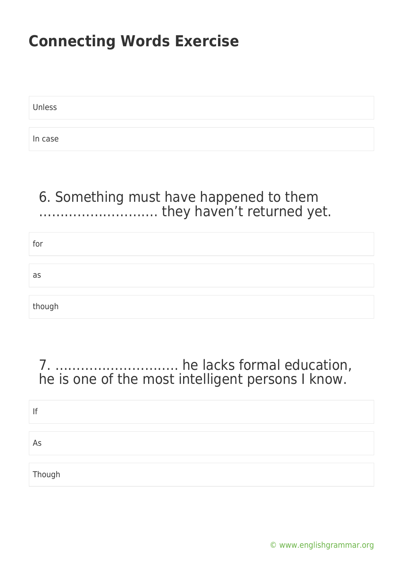Unless

In case

### 6. Something must have happened to them ………………………. they haven't returned yet.

| for    |  |
|--------|--|
|        |  |
| as     |  |
|        |  |
| though |  |

### 7. ……………………….. he lacks formal education, he is one of the most intelligent persons I know.

| lf     |  |  |
|--------|--|--|
|        |  |  |
| As     |  |  |
|        |  |  |
| Though |  |  |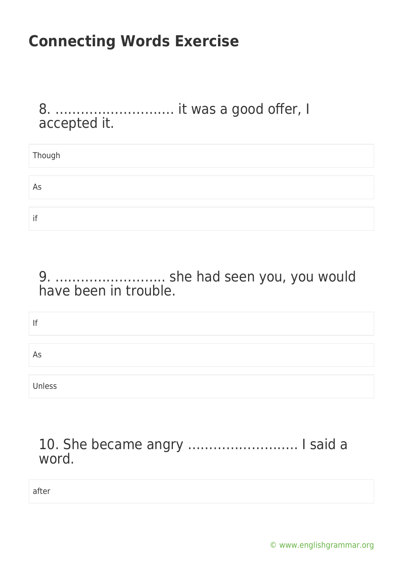8. ………………………. it was a good offer, I accepted it.

| Though |  |
|--------|--|
|        |  |
| As     |  |
|        |  |
| if     |  |

9. …………………….. she had seen you, you would have been in trouble.

| lf     |  |
|--------|--|
| As     |  |
| Unless |  |

#### 10. She became angry …………………….. I said a word.

after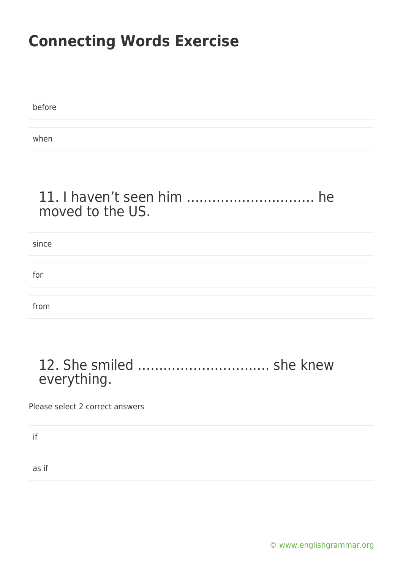| before |  |  |
|--------|--|--|
|        |  |  |
| when   |  |  |

#### 11. I haven't seen him ………………………… he moved to the US.

| since |  |
|-------|--|
|       |  |
| for   |  |
|       |  |
| from  |  |

### 12. She smiled …………………………. she knew everything.

Please select 2 correct answers

if

as if

[© www.englishgrammar.org](https://www.englishgrammar.org/)